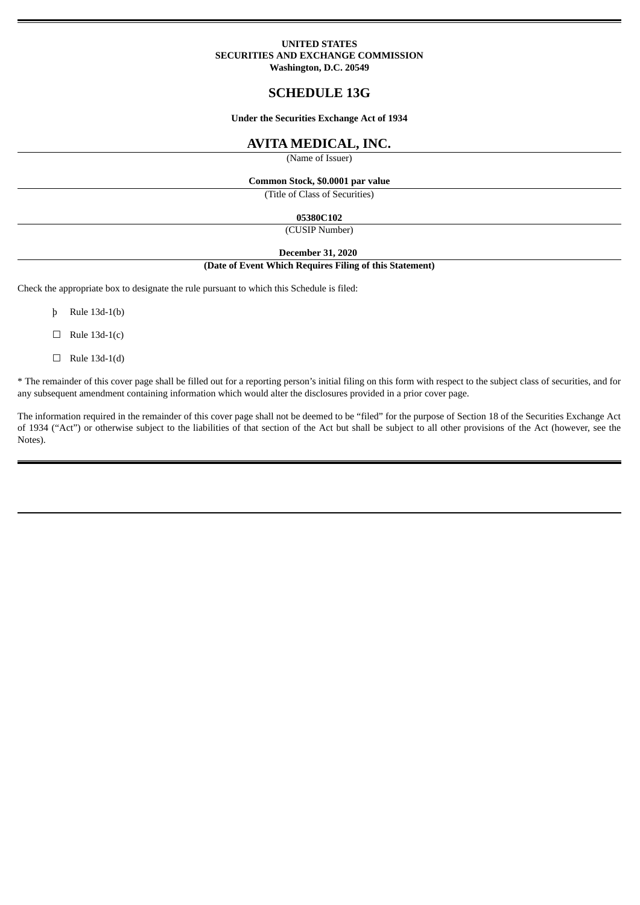### **UNITED STATES SECURITIES AND EXCHANGE COMMISSION Washington, D.C. 20549**

# **SCHEDULE 13G**

**Under the Securities Exchange Act of 1934**

# **AVITA MEDICAL, INC.**

(Name of Issuer)

# **Common Stock, \$0.0001 par value**

(Title of Class of Securities)

## **05380C102**

(CUSIP Number)

**December 31, 2020**

#### **(Date of Event Which Requires Filing of this Statement)**

Check the appropriate box to designate the rule pursuant to which this Schedule is filed:

- þ Rule 13d-1(b)
- $\Box$  Rule 13d-1(c)
- $\Box$  Rule 13d-1(d)

\* The remainder of this cover page shall be filled out for a reporting person's initial filing on this form with respect to the subject class of securities, and for any subsequent amendment containing information which would alter the disclosures provided in a prior cover page.

The information required in the remainder of this cover page shall not be deemed to be "filed" for the purpose of Section 18 of the Securities Exchange Act of 1934 ("Act") or otherwise subject to the liabilities of that section of the Act but shall be subject to all other provisions of the Act (however, see the Notes).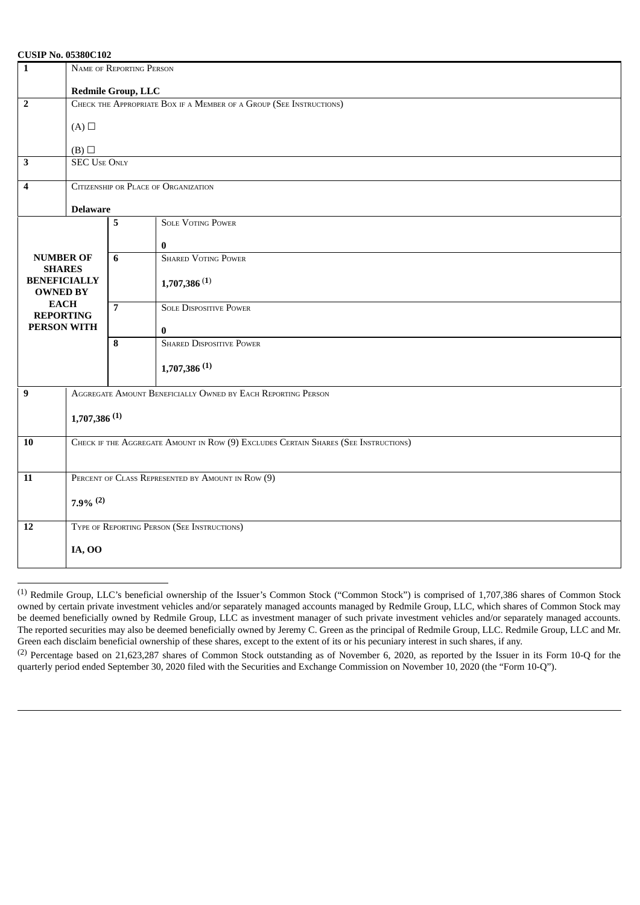## **CUSIP No. 05380C102**

| $\mathbf 1$                       | NAME OF REPORTING PERSON                                                            |                |                                 |  |  |  |
|-----------------------------------|-------------------------------------------------------------------------------------|----------------|---------------------------------|--|--|--|
|                                   | <b>Redmile Group, LLC</b>                                                           |                |                                 |  |  |  |
| $\overline{2}$                    | CHECK THE APPROPRIATE BOX IF A MEMBER OF A GROUP (SEE INSTRUCTIONS)                 |                |                                 |  |  |  |
|                                   | $(A)$ $\square$                                                                     |                |                                 |  |  |  |
|                                   | $(B)$ $\square$                                                                     |                |                                 |  |  |  |
| $\overline{\mathbf{3}}$           | <b>SEC USE ONLY</b>                                                                 |                |                                 |  |  |  |
| 4                                 | CITIZENSHIP OR PLACE OF ORGANIZATION                                                |                |                                 |  |  |  |
|                                   |                                                                                     |                |                                 |  |  |  |
|                                   | <b>Delaware</b>                                                                     |                |                                 |  |  |  |
|                                   |                                                                                     | 5              | <b>SOLE VOTING POWER</b>        |  |  |  |
|                                   |                                                                                     |                | 0                               |  |  |  |
| <b>NUMBER OF</b><br><b>SHARES</b> |                                                                                     | 6              | <b>SHARED VOTING POWER</b>      |  |  |  |
| <b>BENEFICIALLY</b>               |                                                                                     |                | 1,707,386(1)                    |  |  |  |
| <b>OWNED BY</b>                   |                                                                                     |                |                                 |  |  |  |
| <b>EACH</b><br><b>REPORTING</b>   |                                                                                     | $\overline{7}$ | <b>SOLE DISPOSITIVE POWER</b>   |  |  |  |
| <b>PERSON WITH</b>                |                                                                                     |                | 0                               |  |  |  |
|                                   |                                                                                     | 8              | <b>SHARED DISPOSITIVE POWER</b> |  |  |  |
|                                   |                                                                                     |                | $1,707,386$ <sup>(1)</sup>      |  |  |  |
|                                   |                                                                                     |                |                                 |  |  |  |
| 9                                 | AGGREGATE AMOUNT BENEFICIALLY OWNED BY EACH REPORTING PERSON                        |                |                                 |  |  |  |
|                                   | $1,707,386$ <sup>(1)</sup>                                                          |                |                                 |  |  |  |
|                                   |                                                                                     |                |                                 |  |  |  |
| $\overline{10}$                   | CHECK IF THE AGGREGATE AMOUNT IN ROW (9) EXCLUDES CERTAIN SHARES (SEE INSTRUCTIONS) |                |                                 |  |  |  |
|                                   |                                                                                     |                |                                 |  |  |  |
| $\overline{11}$                   | PERCENT OF CLASS REPRESENTED BY AMOUNT IN ROW (9)                                   |                |                                 |  |  |  |
|                                   |                                                                                     |                |                                 |  |  |  |
|                                   | $7.9\%$ <sup>(2)</sup>                                                              |                |                                 |  |  |  |
| 12                                | TYPE OF REPORTING PERSON (SEE INSTRUCTIONS)                                         |                |                                 |  |  |  |
|                                   | IA, 00                                                                              |                |                                 |  |  |  |
|                                   |                                                                                     |                |                                 |  |  |  |

<sup>(1)</sup> Redmile Group, LLC's beneficial ownership of the Issuer's Common Stock ("Common Stock") is comprised of 1,707,386 shares of Common Stock owned by certain private investment vehicles and/or separately managed accounts managed by Redmile Group, LLC, which shares of Common Stock may be deemed beneficially owned by Redmile Group, LLC as investment manager of such private investment vehicles and/or separately managed accounts. The reported securities may also be deemed beneficially owned by Jeremy C. Green as the principal of Redmile Group, LLC. Redmile Group, LLC and Mr. Green each disclaim beneficial ownership of these shares, except to the extent of its or his pecuniary interest in such shares, if any.

(2) Percentage based on 21,623,287 shares of Common Stock outstanding as of November 6, 2020, as reported by the Issuer in its Form 10-Q for the quarterly period ended September 30, 2020 filed with the Securities and Exchange Commission on November 10, 2020 (the "Form 10-Q").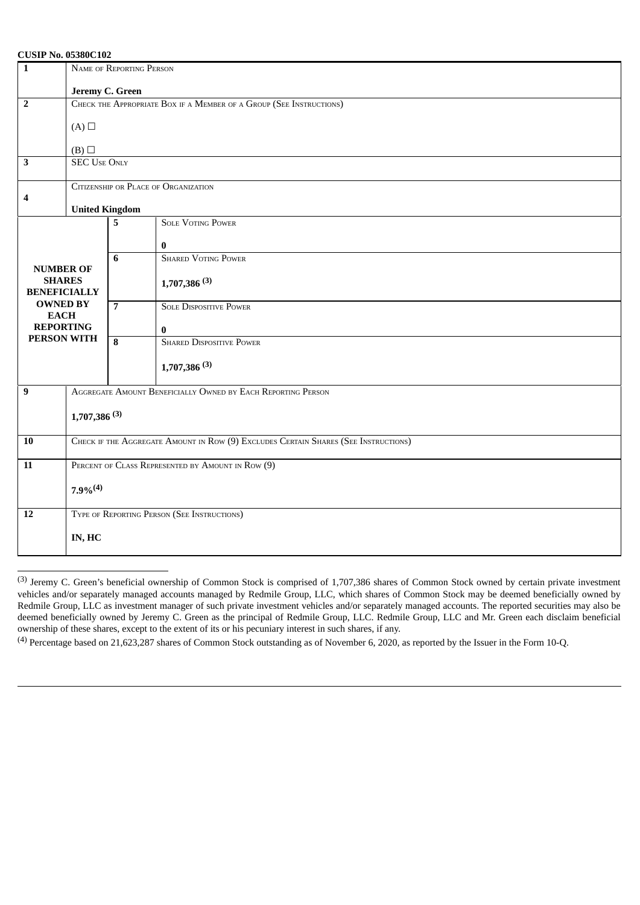## **CUSIP No. 05380C102**

| $\overline{1}$                                                                   | NAME OF REPORTING PERSON                                                            |                |                                 |  |  |  |
|----------------------------------------------------------------------------------|-------------------------------------------------------------------------------------|----------------|---------------------------------|--|--|--|
|                                                                                  | Jeremy C. Green                                                                     |                |                                 |  |  |  |
| $\overline{2}$                                                                   | CHECK THE APPROPRIATE BOX IF A MEMBER OF A GROUP (SEE INSTRUCTIONS)                 |                |                                 |  |  |  |
|                                                                                  | $(A)$ $\square$                                                                     |                |                                 |  |  |  |
|                                                                                  | (B)                                                                                 |                |                                 |  |  |  |
| $\overline{\mathbf{3}}$                                                          | <b>SEC USE ONLY</b>                                                                 |                |                                 |  |  |  |
| $\boldsymbol{4}$                                                                 | CITIZENSHIP OR PLACE OF ORGANIZATION                                                |                |                                 |  |  |  |
|                                                                                  | <b>United Kingdom</b>                                                               |                |                                 |  |  |  |
|                                                                                  |                                                                                     | 5              | <b>SOLE VOTING POWER</b>        |  |  |  |
|                                                                                  |                                                                                     |                | $\bf{0}$                        |  |  |  |
|                                                                                  |                                                                                     | $6\phantom{1}$ | <b>SHARED VOTING POWER</b>      |  |  |  |
| <b>NUMBER OF</b><br><b>SHARES</b>                                                |                                                                                     |                | $1,707,386$ <sup>(3)</sup>      |  |  |  |
| <b>BENEFICIALLY</b>                                                              |                                                                                     |                |                                 |  |  |  |
| <b>OWNED BY</b><br><b>EACH</b>                                                   |                                                                                     | $\overline{7}$ | <b>SOLE DISPOSITIVE POWER</b>   |  |  |  |
| <b>REPORTING</b>                                                                 |                                                                                     |                | $\bf{0}$                        |  |  |  |
| PERSON WITH                                                                      |                                                                                     | 8              | <b>SHARED DISPOSITIVE POWER</b> |  |  |  |
|                                                                                  |                                                                                     |                | $1,707,386$ <sup>(3)</sup>      |  |  |  |
| AGGREGATE AMOUNT BENEFICIALLY OWNED BY EACH REPORTING PERSON<br>$\boldsymbol{9}$ |                                                                                     |                |                                 |  |  |  |
|                                                                                  |                                                                                     |                |                                 |  |  |  |
|                                                                                  | $1,707,386$ <sup>(3)</sup>                                                          |                |                                 |  |  |  |
| 10                                                                               | CHECK IF THE AGGREGATE AMOUNT IN ROW (9) EXCLUDES CERTAIN SHARES (SEE INSTRUCTIONS) |                |                                 |  |  |  |
| $\overline{11}$                                                                  | PERCENT OF CLASS REPRESENTED BY AMOUNT IN ROW (9)                                   |                |                                 |  |  |  |
|                                                                                  |                                                                                     |                |                                 |  |  |  |
|                                                                                  | $7.9\%$ <sup>(4)</sup>                                                              |                |                                 |  |  |  |
| 12                                                                               | TYPE OF REPORTING PERSON (SEE INSTRUCTIONS)                                         |                |                                 |  |  |  |
|                                                                                  | IN, HC                                                                              |                |                                 |  |  |  |
|                                                                                  |                                                                                     |                |                                 |  |  |  |

<sup>(3)</sup> Jeremy C. Green's beneficial ownership of Common Stock is comprised of 1,707,386 shares of Common Stock owned by certain private investment vehicles and/or separately managed accounts managed by Redmile Group, LLC, which shares of Common Stock may be deemed beneficially owned by Redmile Group, LLC as investment manager of such private investment vehicles and/or separately managed accounts. The reported securities may also be deemed beneficially owned by Jeremy C. Green as the principal of Redmile Group, LLC. Redmile Group, LLC and Mr. Green each disclaim beneficial ownership of these shares, except to the extent of its or his pecuniary interest in such shares, if any.

<sup>(4)</sup> Percentage based on 21,623,287 shares of Common Stock outstanding as of November 6, 2020, as reported by the Issuer in the Form 10-Q.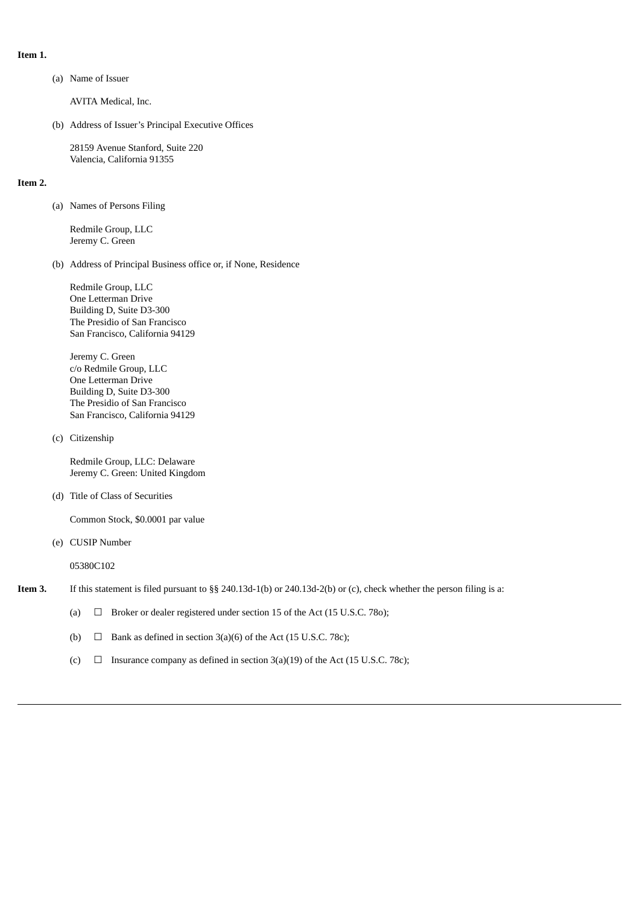- **Item 1.**
- (a) Name of Issuer

AVITA Medical, Inc.

(b) Address of Issuer's Principal Executive Offices

28159 Avenue Stanford, Suite 220 Valencia, California 91355

### **Item 2.**

(a) Names of Persons Filing

Redmile Group, LLC Jeremy C. Green

(b) Address of Principal Business office or, if None, Residence

Redmile Group, LLC One Letterman Drive Building D, Suite D3-300 The Presidio of San Francisco San Francisco, California 94129

Jeremy C. Green c/o Redmile Group, LLC One Letterman Drive Building D, Suite D3-300 The Presidio of San Francisco San Francisco, California 94129

(c) Citizenship

Redmile Group, LLC: Delaware Jeremy C. Green: United Kingdom

(d) Title of Class of Securities

Common Stock, \$0.0001 par value

(e) CUSIP Number

05380C102

- **Item 3.** If this statement is filed pursuant to §§ 240.13d-1(b) or 240.13d-2(b) or (c), check whether the person filing is a:
	- (a)  $\Box$  Broker or dealer registered under section 15 of the Act (15 U.S.C. 780);
	- (b)  $\Box$  Bank as defined in section 3(a)(6) of the Act (15 U.S.C. 78c);
	- (c)  $\Box$  Insurance company as defined in section 3(a)(19) of the Act (15 U.S.C. 78c);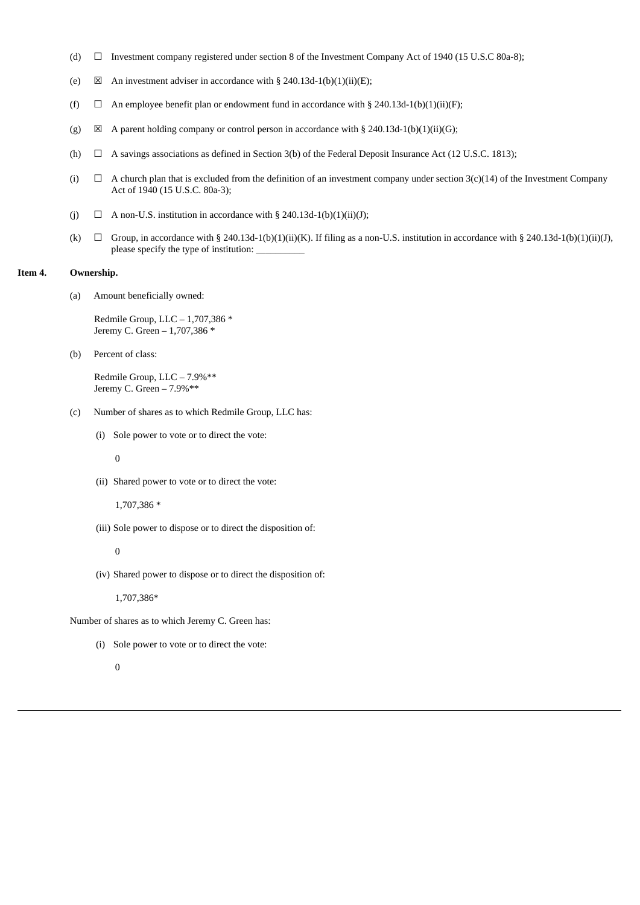- (d)  $\Box$  Investment company registered under section 8 of the Investment Company Act of 1940 (15 U.S.C 80a-8);
- (e)  $\boxtimes$  An investment adviser in accordance with § 240.13d-1(b)(1)(ii)(E);
- (f)  $\Box$  An employee benefit plan or endowment fund in accordance with § 240.13d-1(b)(1)(ii)(F);
- (g)  $\boxtimes$  A parent holding company or control person in accordance with § 240.13d-1(b)(1)(ii)(G);
- (h)  $\Box$  A savings associations as defined in Section 3(b) of the Federal Deposit Insurance Act (12 U.S.C. 1813);
- (i)  $\Box$  A church plan that is excluded from the definition of an investment company under section 3(c)(14) of the Investment Company Act of 1940 (15 U.S.C. 80a-3);
- (i)  $\Box$  A non-U.S. institution in accordance with § 240.13d-1(b)(1)(ii)(J);
- (k)  $\Box$  Group, in accordance with § 240.13d-1(b)(1)(ii)(K). If filing as a non-U.S. institution in accordance with § 240.13d-1(b)(1)(ii)(J), please specify the type of institution: \_

#### **Item 4. Ownership.**

(a) Amount beneficially owned:

Redmile Group, LLC – 1,707,386 \* Jeremy C. Green – 1,707,386 \*

(b) Percent of class:

Redmile Group, LLC – 7.9%\*\* Jeremy C. Green – 7.9%\*\*

- (c) Number of shares as to which Redmile Group, LLC has:
	- (i) Sole power to vote or to direct the vote:

0

(ii) Shared power to vote or to direct the vote:

1,707,386 \*

(iii) Sole power to dispose or to direct the disposition of:

0

(iv) Shared power to dispose or to direct the disposition of:

1,707,386\*

Number of shares as to which Jeremy C. Green has:

(i) Sole power to vote or to direct the vote:

# $\Omega$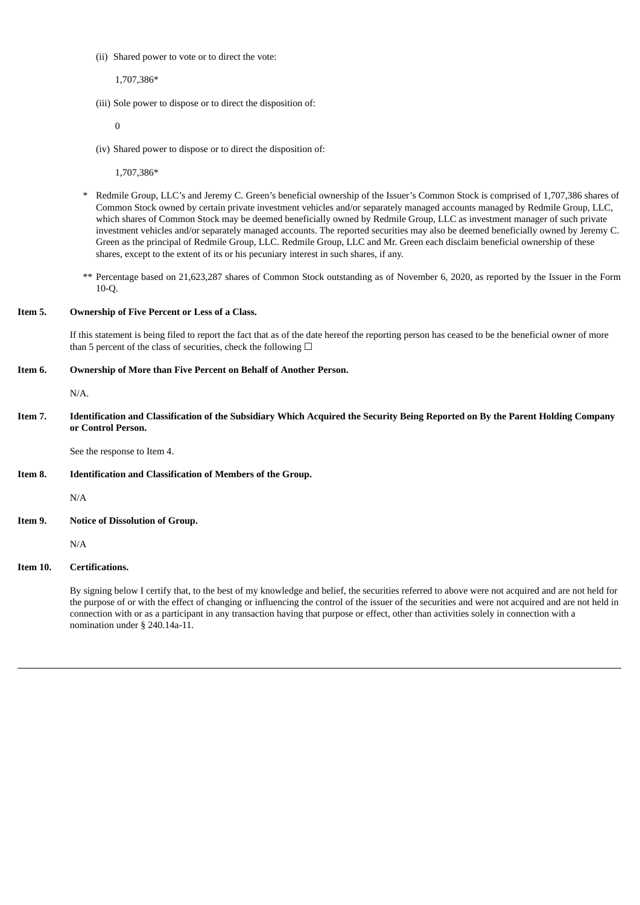(ii) Shared power to vote or to direct the vote:

1,707,386\*

(iii) Sole power to dispose or to direct the disposition of:

0

(iv) Shared power to dispose or to direct the disposition of:

1,707,386\*

- \* Redmile Group, LLC's and Jeremy C. Green's beneficial ownership of the Issuer's Common Stock is comprised of 1,707,386 shares of Common Stock owned by certain private investment vehicles and/or separately managed accounts managed by Redmile Group, LLC, which shares of Common Stock may be deemed beneficially owned by Redmile Group, LLC as investment manager of such private investment vehicles and/or separately managed accounts. The reported securities may also be deemed beneficially owned by Jeremy C. Green as the principal of Redmile Group, LLC. Redmile Group, LLC and Mr. Green each disclaim beneficial ownership of these shares, except to the extent of its or his pecuniary interest in such shares, if any.
- \*\* Percentage based on 21,623,287 shares of Common Stock outstanding as of November 6, 2020, as reported by the Issuer in the Form 10-Q.

## **Item 5. Ownership of Five Percent or Less of a Class.**

If this statement is being filed to report the fact that as of the date hereof the reporting person has ceased to be the beneficial owner of more than 5 percent of the class of securities, check the following  $\Box$ 

### **Item 6. Ownership of More than Five Percent on Behalf of Another Person.**

N/A.

Item 7. Identification and Classification of the Subsidiary Which Acquired the Security Being Reported on By the Parent Holding Company **or Control Person.**

See the response to Item 4.

**Item 8. Identification and Classification of Members of the Group.**

N/A

**Item 9. Notice of Dissolution of Group.**

N/A

## **Item 10. Certifications.**

By signing below I certify that, to the best of my knowledge and belief, the securities referred to above were not acquired and are not held for the purpose of or with the effect of changing or influencing the control of the issuer of the securities and were not acquired and are not held in connection with or as a participant in any transaction having that purpose or effect, other than activities solely in connection with a nomination under § 240.14a-11.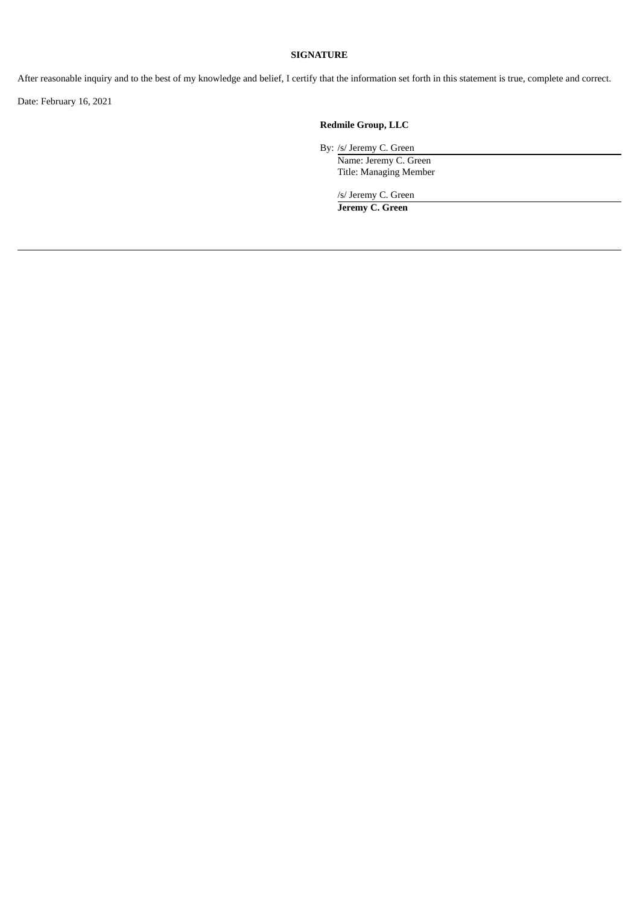# **SIGNATURE**

After reasonable inquiry and to the best of my knowledge and belief, I certify that the information set forth in this statement is true, complete and correct.

Date: February 16, 2021

# **Redmile Group, LLC**

By: /s/ Jeremy C. Green Name: Jeremy C. Green

Title: Managing Member

/s/ Jeremy C. Green **Jeremy C. Green**